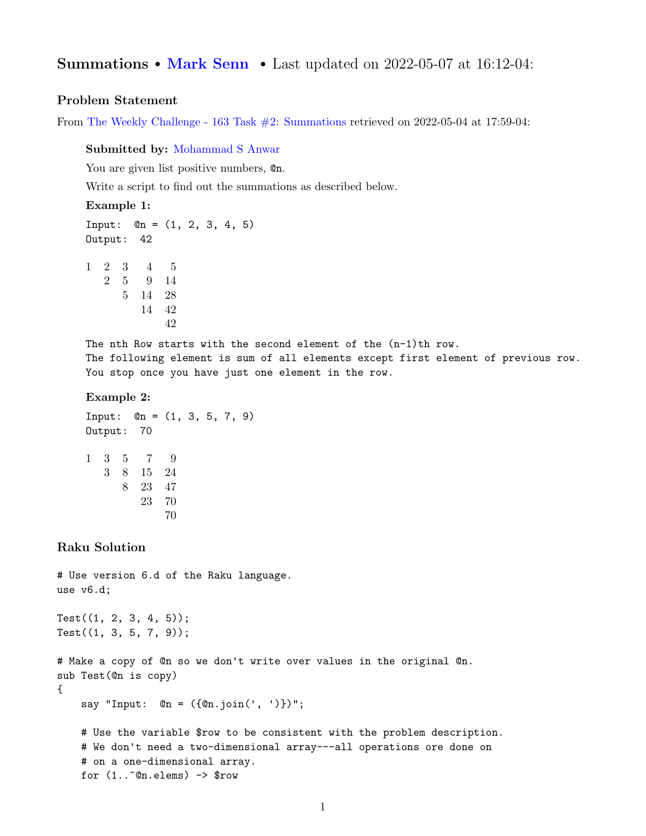# Summations • [Mark Senn](https://bit.ly/marksenn) • Last updated on 2022-05-07 at 16:12-04:

## Problem Statement

From [The Weekly Challenge - 163 Task #2: Summations](https://theweeklychallenge.org/blog/perl-weekly-challenge-163/#TASK2) retrieved on 2022-05-04 at 17:59-04:

Submitted by: [Mohammad S Anwar](manwar.org)

You are given list positive numbers,  $@n$ .

Write a script to find out the summations as described below.

### Example 1:

Input:  $@n = (1, 2, 3, 4, 5)$ Output: 42

1 2 3 4 5 2 5 9 14 5 14 28 14 42 42

The nth Row starts with the second element of the  $(n-1)$ th row. The following element is sum of all elements except first element of previous row. You stop once you have just one element in the row.

#### Example 2:

Input:  $@n = (1, 3, 5, 7, 9)$ Output: 70 1 3 5 7 9 3 8 15 24 8 23 47 23 70 70

## Raku Solution

```
# Use version 6.d of the Raku language.
use v6.d;
Test((1, 2, 3, 4, 5));Test((1, 3, 5, 7, 9));# Make a copy of @n so we don't write over values in the original @n.
sub Test(@n is copy)
{
    say "Input: @n = (\{@n.join(', ')}@i']";
    # Use the variable $row to be consistent with the problem description.
    # We don't need a two-dimensional array---all operations ore done on
    # on a one-dimensional array.
    for (1..\hat{c}n.elems) \rightarrow $row
```